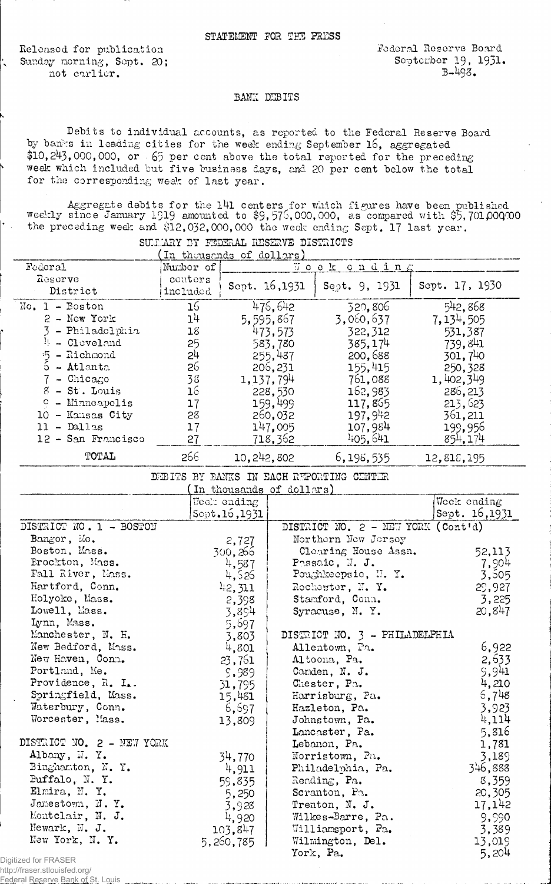Released for publication Sunday morning, Sept. 20; not earlier.

ķ,

http://fraser.stlouisfed.org/ Federal Reserve Bank of St. Louis

## *:BMIZ* DIBITS

Debits to individual accounts, as reported to the Federal Reserve Board by banks in leading cities for the week ending September 16, aggregated  $$10,243,000,000$ , or 65 per cent above the total reported for the preceding week which included but five business days, and 20 per cent below the total for the corresponding weak of last year.

SUGARY 3Y FEDERAL RESERVE DISTRICTS

Aggregate debits for the l4l centers for which figures have been published weekly since January 1919 amounted to \$9,576,000,000, as compared with \$5,701,000000 the preceding wed: and \$12,032,000,000 the week ending Sept. 17 last year.

|                            | In thousands of dollars) |                          |                   |                                          |                |  |
|----------------------------|--------------------------|--------------------------|-------------------|------------------------------------------|----------------|--|
| Federal                    | Number of                |                          |                   | Woek onding                              |                |  |
| Reserve                    | conters                  | Sept. 16,1931            |                   | Sept. 9, 1931                            | Sept. 17, 1930 |  |
| District                   | included                 |                          |                   |                                          |                |  |
| $No. 1 - Boston$           | 16                       |                          | 475, 642          | 320,806                                  | 542,868        |  |
| $2$ - New York             | 14                       |                          | 5,595,867         | 3,060,637                                | 7, 134, 505    |  |
| $3 - Philadelphia$         | 18                       |                          | 473,573           | 322, 312                                 | 531,387        |  |
| $\mu$ - Cleveland          | 25                       |                          | 583,780           | 385,174                                  | 739,841        |  |
| $5 - \text{Richard}$       | 54                       |                          | 255,487           | 200,688                                  | 301,740        |  |
| $\tilde{5}$ - Atlanta      | 26                       |                          | 206,231           | 155,415                                  | 250,328        |  |
| $7$ - Chicago              | 38                       |                          | 1, 137, 794       | 761,088                                  | 1,402,349      |  |
| 8 - St. Louis              | 16                       |                          | 228,530           | 162,983                                  | 286, 213       |  |
| <sup>o</sup> - Minneapolis | 17                       |                          | 159,499           | 117,865                                  | 213,623        |  |
| 10 - Kansas City           | 28                       |                          | 260,032           | 197,942                                  | 361,211        |  |
| $11 - D$ allas             | 17                       |                          | 147,005           | 107,984                                  | 199,956        |  |
| 12 - San Francisco         | 27                       |                          | 718,362           | 405,641                                  | 854,174        |  |
| TOTAL                      | 266                      | 10,242,802               |                   | 6,198,535                                | 12,818,195     |  |
|                            |                          |                          |                   | DEBITS BY BANKS IN EACH REPORTING CENTER |                |  |
|                            |                          | In thousands of dollars) |                   |                                          |                |  |
|                            |                          | Week ending              |                   |                                          | Wook ending    |  |
|                            |                          | Sopt.16, 1931            |                   |                                          | Sept. 16,1931  |  |
| DISTRICT NO. 1 - BOSTON    |                          |                          |                   | DISTRICT NO. 2 - NEW YORK (Cont'd)       |                |  |
| Bangor, Mo.                |                          | 2,727                    |                   | Northern New Jorsey                      |                |  |
| Boston, Mass.              |                          | 300,266                  |                   | Cloaring House Assn.                     | 52,113         |  |
| Brockton, Mass.            |                          | 4,587                    |                   | Passaic, N. J.                           | 7,904          |  |
| Fall River, Mass.          |                          | 4,626                    |                   | Poughkeepsie, N.Y.                       | 3,505          |  |
| Hartford, Conn.            |                          | 42,311                   |                   | Rochester, N.Y.                          | 29,927         |  |
| Holyoke, Mass.             |                          | 2,398                    |                   | Stamford, Conn.                          | 3,225          |  |
| Lowell, Mass.              |                          | 3,894                    |                   | Syracuse, N.Y.                           | 20, 847        |  |
| Lynn, Mass.                |                          | 5,697                    |                   |                                          |                |  |
| Manchester, N. H.          |                          | 3,803                    |                   | DISTRICT NO. 3 - PHILADELPHIA            |                |  |
| New Bedford, Mass.         |                          | 4,801                    |                   | Allentown, Pa.                           | 6,922          |  |
| New Haven, Conn.           |                          | 23,761                   |                   | Altoona, Pa.                             | 2,633          |  |
| Portland, Me.              |                          | 5,989                    |                   | Canden, N. J.                            | 5,941          |  |
| Providence, R. I           |                          | 31,795                   |                   | Chester, Pa.                             | 4,210          |  |
| Springfield, Mass.         |                          | 15,481                   |                   | Harrisburg, Pa.                          | 5,748          |  |
| Waterbury, Conn.           |                          | 6,697                    |                   | Hazleton, Pa.                            | 3,923          |  |
| Worcester, Mass.           |                          | 13,809                   |                   | Johnstown, Pa.                           | 4,114          |  |
|                            |                          |                          |                   | Lancaster, Pa.                           | 5,816          |  |
| DISTRICT NO. 2 - NEW YORK  |                          |                          |                   | Lebanon, Pa.                             | 1,781          |  |
| Albany, N.Y.               | 34,770                   |                          | Norristown, Pa.   |                                          | 3,189          |  |
| Binghamton, N.Y.           |                          | 4,911                    | Philadelphia, Pa. |                                          | 346,888        |  |
| Buffalo, N.Y.              |                          | 59,835                   | Reading, Pa.      |                                          | 8,359          |  |
| Elmira, N.Y.               |                          | 5,250                    |                   | Scranton, Po.                            | 20,305         |  |
| Jamestown, N.Y.            |                          | 3,928<br>4,920           | Trenton, N. J.    |                                          | 17,142         |  |
|                            | Montclair, N. J.         |                          |                   | Wilkes-Barre, Pa.                        | 9,990          |  |
| Newark, N. J.              |                          | 103.847                  |                   | Williamsport, Pa.                        | 3,389          |  |
| New York, N.Y.             |                          | 5,260,785                |                   | Wilmington, Del.                         | 13,019         |  |
| Digitized for FRASER       |                          |                          |                   | York, Pa.                                | 5,204          |  |
|                            |                          |                          |                   |                                          |                |  |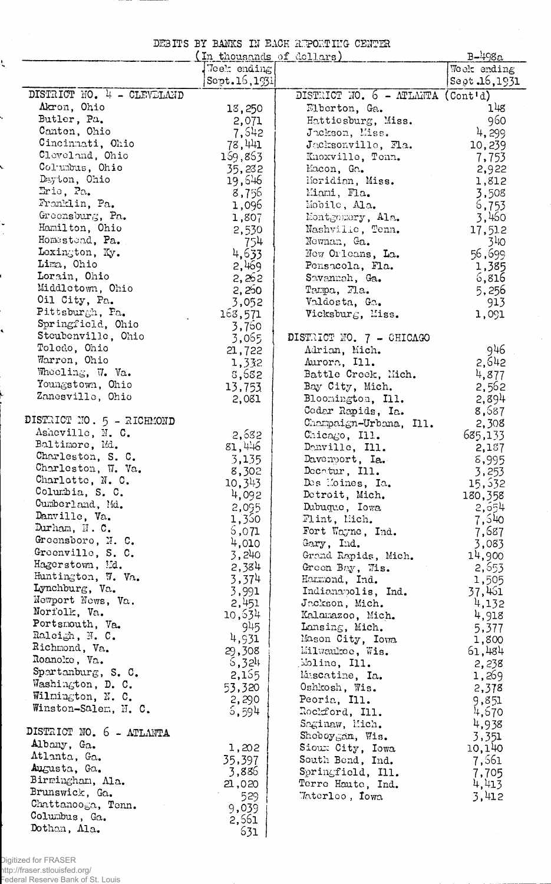DEBITS BY BANKS IN EACH REPORTING CENTER

l,

 $\hat{\boldsymbol{\beta}}$ 

|                            | In thousands of dollars) |                                                            | $B-498a$       |
|----------------------------|--------------------------|------------------------------------------------------------|----------------|
|                            | Week ending              |                                                            | Week ending    |
|                            | Sept.16,1931             |                                                            | Sept .16, 1931 |
| DISTRICT NO. 4 - CLEVELAND |                          | DISTRICT NO. $6 - \text{ATLAMTA} (\text{Cont}^{\dagger}d)$ |                |
| Akron, Ohio                | 13,250                   | Elberton, Ga.                                              | 14g            |
| Butler, Pa.                | 2,071                    | Hattiesburg, Miss.                                         | 960            |
| Canton, Ohio               | 7,542                    | Jackson, Miss.                                             | 4,299          |
| Cincinnati, Ohio           | 78,441                   | Jacksonville, Fla.                                         | 10,239         |
| Cleveland, Ohio            | 169,863                  | Knoxville, Tonn.                                           |                |
| Columbus, Ohio             |                          |                                                            | 7,753          |
| Dayton, Ohio               | 35,232                   | Macon, Ga.                                                 | 2,922          |
| Eric, Pa.                  | 19,646                   | Moridian, Miss.                                            | 1,812          |
|                            | 8,756                    | Miami, Fla.                                                | 3,508          |
| Fronklin, Pa.              | 1,096                    | Mobile, Ala.                                               | 6,753          |
| Greensburg, Pa.            | 1,807                    | Montgomery, Ala.                                           | 3,460          |
| Hamilton, Ohio             | 2,530                    | Nashvilic, Tenn.                                           | 17,512         |
| Homestead, Pa.             | 754                      | Newnan, Ga.                                                | $31$ io        |
| Lexington, Ky.             | 4,633                    | New Orleans, La.                                           | 56,699         |
| Lima, Ohio                 | 2,469                    | Pensacola, Fla.                                            | 1,385          |
| Lorain, Ohio               | 2,262                    | Savannah, Ga.                                              | 6,816          |
| Middletown, Ohio           | 2,250                    | Tampa, Fla.                                                | 5,256          |
| Oil City, Pa.              | 3,052                    | Valdosta, Ga.                                              | 913            |
| Pittsburgh, Pa.            | 163,571                  | Vicksburg, Miss.                                           | 1,091          |
| Springfield, Ohio          | 3,700                    |                                                            |                |
| Steubenville, Ohio         | 3,065                    | DISTRICT NO. 7 - CHICAGO                                   |                |
| Toledo, Ohio               | 21,722                   | Adrian, Mich.                                              | 946            |
| Warren, Ohio               | 1,332                    | Aurora, Ill.                                               | 2.642          |
| Wheeling, W. Va.           | 3,632                    | Battle Creek, Mich.                                        | 4,877          |
| Youngstown, Ohio           | 13,753                   | Bay City, Mich.                                            | 2,562          |
| Zanesville, Ohio           |                          |                                                            |                |
|                            | 2,081                    | Bloomington, Ill.                                          | 2,894          |
| DISTRICT NO. 5 - RICHMOND  |                          | Cedar Rapids, Ia.                                          | 8,587          |
| Asheville, N. C.           |                          | Champaign-Urbana, Ill.                                     | 2,308          |
| Baltimore, Md.             | 2,682                    | Chicago, Ill.                                              | 685,133        |
|                            | 81,446                   | Danville, Ill.                                             | 2,187          |
| Charleston, S. C.          | 3,135                    | Davenport, Ia.                                             | 8,995          |
| Charleston, W. Va.         | 8,302                    | Decetur, Ill.                                              | 3,253          |
| Charlotte, N. C.           | 10,343                   | Des Moines, Ia.                                            | 15,532         |
| Columbia, S. C.            | 4,092                    | Detroit, Mich.                                             | 180,358        |
| Cumberland, Md.            | 2,095                    | Dubuque, Iowa                                              | 2,654          |
| Danville, Va.              | 1,350                    | Flint, Mich.                                               | 7,540          |
| Durham, N.C.               | 5,071                    | Fort Wayne, Ind.                                           | 7,687          |
| Greensboro, N. C.          | 4,010                    | Gary, Ind.                                                 | 3,083          |
| Greenville, S. C.          | 3,240                    | Grand Rapids, Mich.                                        | 14,900         |
| Hagerstown, Md.            | 2,384                    | Green Bay, Wis.                                            | 2,553          |
| Huntington, W. Va.         | 3,374                    | Hammond, Ind.                                              | 1,505          |
| Lynchburg, Va.             | 3,991                    | Indianapolis, Ind.                                         | 37,461         |
| Newport News, Va.          | 2,451                    | Jackson, Mich.                                             | 4,132          |
| Norfolk, Va.               | 10,534                   | Kalamazoo, Mich.                                           | 4,918          |
| Portsmouth, Va.            | 945                      | Lansing, Mich.                                             | 5,377          |
| Ralcigh, N. C.             | 4,931                    | Mason City, Iowa                                           | 1,800          |
| Richmond, Va.              | 29,308                   | Milwaukee, Wis.                                            | 61,484         |
| Roanoke, Va.               | 5,324                    | Moline, Ill.                                               | 2,238          |
| Spartanburg, S. C.         | 2,155                    | Muscatine, Ia.                                             |                |
| Washington, D. C.          |                          |                                                            | 1,269          |
| Wilmington, N. C.          | 53,320                   | Oshkosh, Wis.                                              | 2,378          |
| Winston-Salem, N. C.       | 2,290                    | Peoria, Ill.                                               | 9,851          |
|                            | 5,594                    | Rockford, Ill.                                             | 4,670          |
| DISTRICT NO. 6 - ATLANTA   |                          | Saginaw, Mich.                                             | 4,938          |
| Albany, Ga.                |                          | Shoboygan, Wis.                                            | 3,351          |
|                            | 1,202                    | Sioux City, Iowa                                           | 10,140         |
| Atlanta, Ga.               | 35,397                   | South Bend, Ind.                                           | 7,561          |
| Augusta, Ga.               | 3,886                    | Springfield, Ill.                                          | 7,705          |
| Birmingham, Ala.           | 21,020                   | Terre Haute, Ind.                                          | 4,413          |
| Brunswick, Ga.             | 529                      | Taterleo, Iowa                                             | 3,412          |
| Chattanooga, Tenn.         | 9,039                    |                                                            |                |
| Columbus, Ga.              | 2,561                    |                                                            |                |
| Dothan, Ala.               | 631                      |                                                            |                |

ţ.

Ļ

 $\overline{\phantom{0}}$ 

 $\ddot{\phantom{0}}$ 

t

 $\cdot$